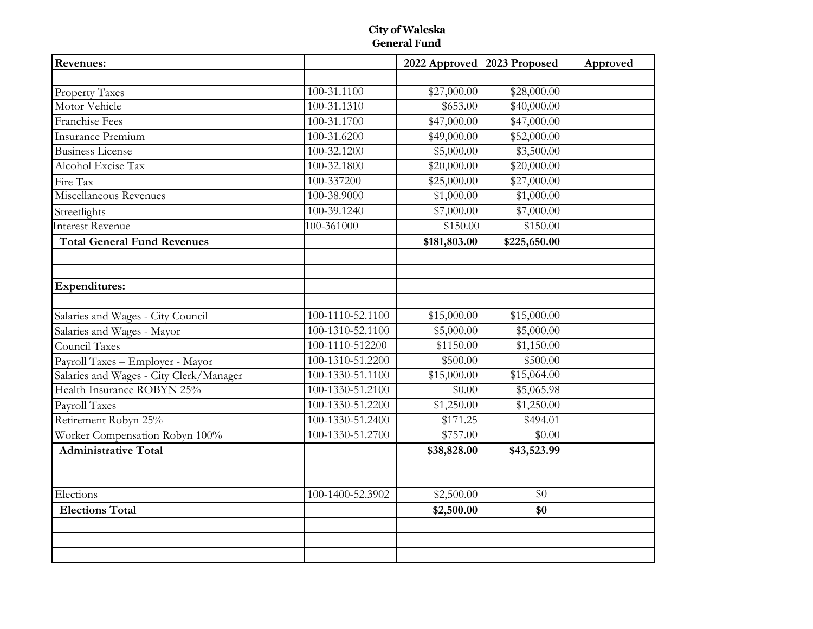### **City of Waleska General Fund**

| Revenues:                               |                  |              | 2022 Approved 2023 Proposed | Approved |
|-----------------------------------------|------------------|--------------|-----------------------------|----------|
|                                         |                  |              |                             |          |
| <b>Property Taxes</b>                   | 100-31.1100      | \$27,000.00  | \$28,000.00                 |          |
| Motor Vehicle                           | 100-31.1310      | \$653.00     | \$40,000.00                 |          |
| Franchise Fees                          | 100-31.1700      | \$47,000.00  | \$47,000.00                 |          |
| Insurance Premium                       | 100-31.6200      | \$49,000.00  | \$52,000.00                 |          |
| <b>Business License</b>                 | 100-32.1200      | \$5,000.00   | \$3,500.00                  |          |
| Alcohol Excise Tax                      | 100-32.1800      | \$20,000.00  | \$20,000.00                 |          |
| Fire Tax                                | 100-337200       | \$25,000.00  | \$27,000.00                 |          |
| Miscellaneous Revenues                  | 100-38.9000      | \$1,000.00   | \$1,000.00                  |          |
| Streetlights                            | 100-39.1240      | \$7,000.00   | \$7,000.00                  |          |
| Interest Revenue                        | 100-361000       | \$150.00     | \$150.00                    |          |
| <b>Total General Fund Revenues</b>      |                  | \$181,803.00 | \$225,650.00                |          |
|                                         |                  |              |                             |          |
|                                         |                  |              |                             |          |
| <b>Expenditures:</b>                    |                  |              |                             |          |
| Salaries and Wages - City Council       | 100-1110-52.1100 | \$15,000.00  | \$15,000.00                 |          |
| Salaries and Wages - Mayor              | 100-1310-52.1100 | \$5,000.00   | \$5,000.00                  |          |
| Council Taxes                           | 100-1110-512200  | \$1150.00    | \$1,150.00                  |          |
| Payroll Taxes - Employer - Mayor        | 100-1310-51.2200 | \$500.00     | \$500.00                    |          |
| Salaries and Wages - City Clerk/Manager | 100-1330-51.1100 | \$15,000.00  | \$15,064.00                 |          |
| Health Insurance ROBYN 25%              | 100-1330-51.2100 | \$0.00       | \$5,065.98                  |          |
| Payroll Taxes                           | 100-1330-51.2200 | \$1,250.00   | \$1,250.00                  |          |
| Retirement Robyn 25%                    | 100-1330-51.2400 | \$171.25     | \$494.01                    |          |
| Worker Compensation Robyn 100%          | 100-1330-51.2700 | \$757.00     | \$0.00                      |          |
| <b>Administrative Total</b>             |                  | \$38,828.00  | \$43,523.99                 |          |
|                                         |                  |              |                             |          |
|                                         |                  |              |                             |          |
| Elections                               | 100-1400-52.3902 | \$2,500.00   | \$0                         |          |
| <b>Elections Total</b>                  |                  | \$2,500.00   | \$0                         |          |
|                                         |                  |              |                             |          |
|                                         |                  |              |                             |          |
|                                         |                  |              |                             |          |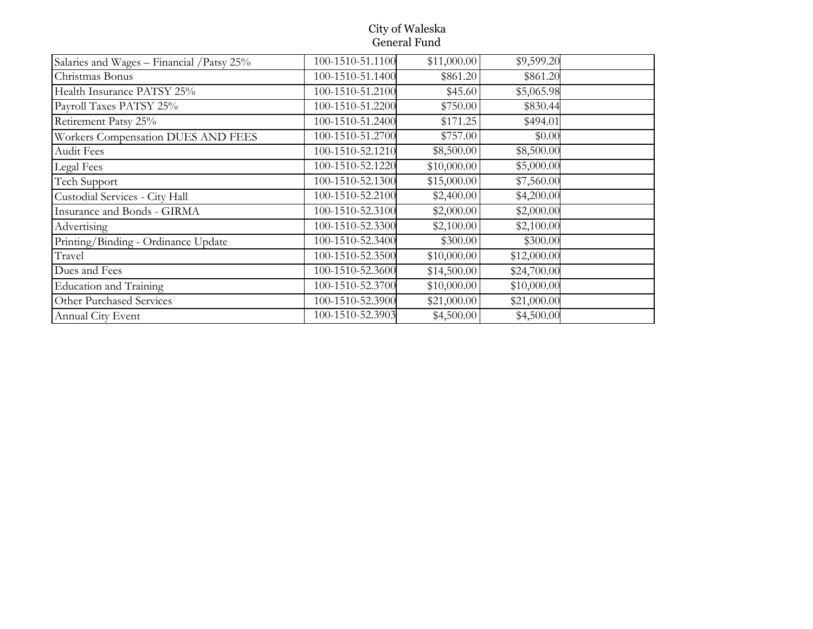#### City of Waleska General Fund

| Salaries and Wages - Financial / Patsy 25% | 100-1510-51.1100 | \$11,000.00 | \$9,599.20  |  |
|--------------------------------------------|------------------|-------------|-------------|--|
| Christmas Bonus                            | 100-1510-51.1400 | \$861.20    | \$861.20    |  |
| Health Insurance PATSY 25%                 | 100-1510-51.2100 | \$45.60     | \$5,065.98  |  |
| Payroll Taxes PATSY 25%                    | 100-1510-51.2200 | \$750.00    | \$830.44    |  |
| Retirement Patsy 25%                       | 100-1510-51.2400 | \$171.25    | \$494.01    |  |
| Workers Compensation DUES AND FEES         | 100-1510-51.2700 | \$757.00    | \$0.00      |  |
| <b>Audit Fees</b>                          | 100-1510-52.1210 | \$8,500.00  | \$8,500.00  |  |
| Legal Fees                                 | 100-1510-52.1220 | \$10,000.00 | \$5,000.00  |  |
| Tech Support                               | 100-1510-52.1300 | \$15,000.00 | \$7,560.00  |  |
| Custodial Services - City Hall             | 100-1510-52.2100 | \$2,400.00  | \$4,200.00  |  |
| Insurance and Bonds - GIRMA                | 100-1510-52.3100 | \$2,000.00  | \$2,000.00  |  |
| Advertising                                | 100-1510-52.3300 | \$2,100.00  | \$2,100.00  |  |
| Printing/Binding - Ordinance Update        | 100-1510-52.3400 | \$300.00    | \$300.00    |  |
| Travel                                     | 100-1510-52.3500 | \$10,000.00 | \$12,000.00 |  |
| Dues and Fees                              | 100-1510-52.3600 | \$14,500.00 | \$24,700.00 |  |
| <b>Education and Training</b>              | 100-1510-52.3700 | \$10,000.00 | \$10,000.00 |  |
| Other Purchased Services                   | 100-1510-52.3900 | \$21,000.00 | \$21,000.00 |  |
| Annual City Event                          | 100-1510-52.3903 | \$4,500.00  | \$4,500.00  |  |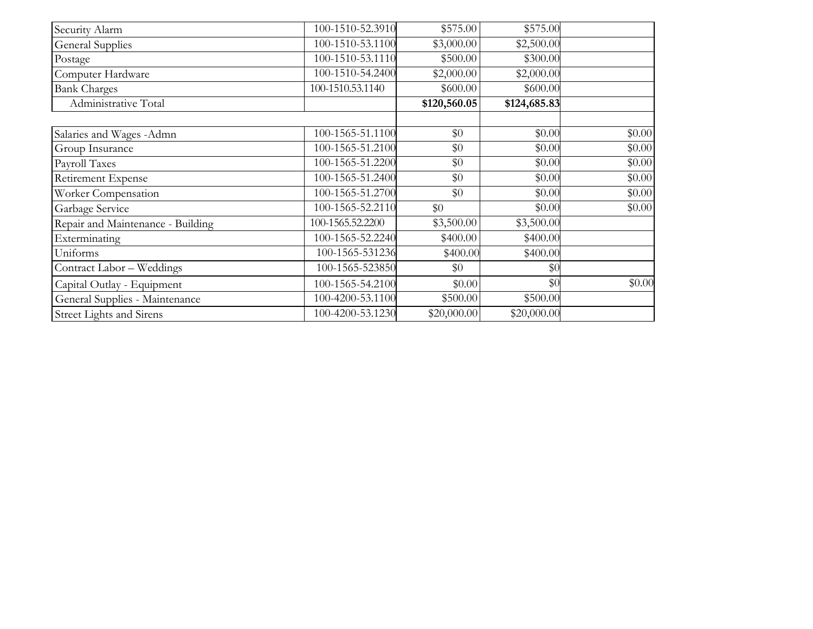| Security Alarm                    | 100-1510-52.3910 | \$575.00     | \$575.00     |        |
|-----------------------------------|------------------|--------------|--------------|--------|
| <b>General Supplies</b>           | 100-1510-53.1100 | \$3,000.00   | \$2,500.00   |        |
| Postage                           | 100-1510-53.1110 | \$500.00     | \$300.00     |        |
| Computer Hardware                 | 100-1510-54.2400 | \$2,000.00   | \$2,000.00   |        |
| <b>Bank Charges</b>               | 100-1510.53.1140 | \$600.00]    | \$600.00     |        |
| Administrative Total              |                  | \$120,560.05 | \$124,685.83 |        |
|                                   |                  |              |              |        |
| Salaries and Wages -Admn          | 100-1565-51.1100 | \$0          | \$0.00       | \$0.00 |
| Group Insurance                   | 100-1565-51.2100 | \$0          | \$0.00       | \$0.00 |
| Payroll Taxes                     | 100-1565-51.2200 | \$0          | \$0.00       | \$0.00 |
| Retirement Expense                | 100-1565-51.2400 | \$0          | \$0.00       | \$0.00 |
| Worker Compensation               | 100-1565-51.2700 | \$0          | \$0.00       | \$0.00 |
| Garbage Service                   | 100-1565-52.2110 | \$0          | \$0.00       | \$0.00 |
| Repair and Maintenance - Building | 100-1565.52.2200 | \$3,500.00   | \$3,500.00   |        |
| Exterminating                     | 100-1565-52.2240 | \$400.00     | \$400.00     |        |
| Uniforms                          | 100-1565-531236  | \$400.00     | \$400.00     |        |
| Contract Labor - Weddings         | 100-1565-523850  | \$0          | \$0          |        |
| Capital Outlay - Equipment        | 100-1565-54.2100 | \$0.00       | \$0          | \$0.00 |
| General Supplies - Maintenance    | 100-4200-53.1100 | \$500.00     | \$500.00     |        |
| Street Lights and Sirens          | 100-4200-53.1230 | \$20,000.00  | \$20,000.00  |        |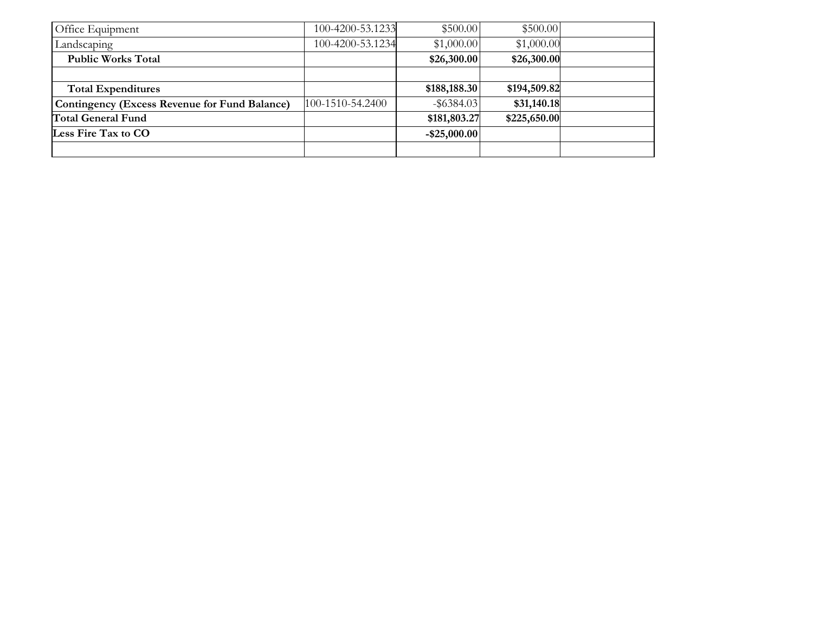| Office Equipment                              | 100-4200-53.1233 | \$500.00        | \$500.00     |  |
|-----------------------------------------------|------------------|-----------------|--------------|--|
| Landscaping                                   | 100-4200-53.1234 | \$1,000.00      | \$1,000.00   |  |
| <b>Public Works Total</b>                     |                  | \$26,300.00     | \$26,300.00  |  |
|                                               |                  |                 |              |  |
| <b>Total Expenditures</b>                     |                  | \$188,188.30    | \$194,509.82 |  |
| Contingency (Excess Revenue for Fund Balance) | 100-1510-54.2400 | $-$ \$6384.03   | \$31,140.18  |  |
| <b>Total General Fund</b>                     |                  | \$181,803.27    | \$225,650.00 |  |
| Less Fire Tax to CO                           |                  | $-$ \$25,000.00 |              |  |
|                                               |                  |                 |              |  |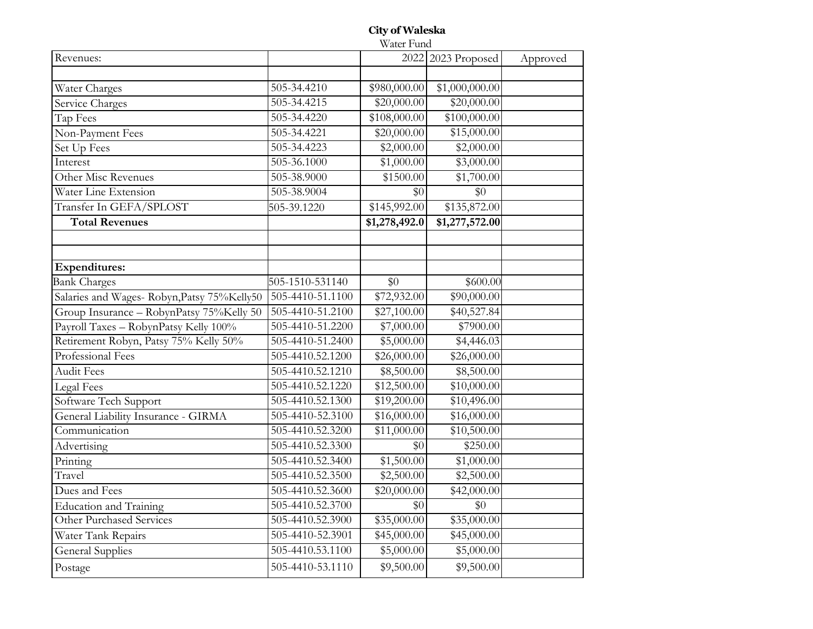### **City of Waleska**

Water Fund

| Revenues:                                   |                  |               | 2022 2023 Proposed | Approved |
|---------------------------------------------|------------------|---------------|--------------------|----------|
|                                             |                  |               |                    |          |
| Water Charges                               | 505-34.4210      | \$980,000.00  | \$1,000,000.00     |          |
| Service Charges                             | 505-34.4215      | \$20,000.00   | \$20,000.00        |          |
| Tap Fees                                    | 505-34.4220      | \$108,000.00  | \$100,000.00       |          |
| Non-Payment Fees                            | 505-34.4221      | \$20,000.00   | \$15,000.00        |          |
| Set Up Fees                                 | 505-34.4223      | \$2,000.00    | \$2,000.00         |          |
| Interest                                    | 505-36.1000      | \$1,000.00    | \$3,000.00         |          |
| Other Misc Revenues                         | 505-38.9000      | \$1500.00     | \$1,700.00         |          |
| Water Line Extension                        | 505-38.9004      | \$0           | \$0                |          |
| Transfer In GEFA/SPLOST                     | 505-39.1220      | \$145,992.00  | \$135,872.00       |          |
| <b>Total Revenues</b>                       |                  | \$1,278,492.0 | \$1,277,572.00     |          |
|                                             |                  |               |                    |          |
|                                             |                  |               |                    |          |
| <b>Expenditures:</b>                        |                  |               |                    |          |
| <b>Bank Charges</b>                         | 505-1510-531140  | \$0           | \$600.00           |          |
| Salaries and Wages- Robyn, Patsy 75%Kelly50 | 505-4410-51.1100 | \$72,932.00   | \$90,000.00        |          |
| Group Insurance - RobynPatsy 75%Kelly 50    | 505-4410-51.2100 | \$27,100.00   | \$40,527.84        |          |
| Payroll Taxes - RobynPatsy Kelly 100%       | 505-4410-51.2200 | \$7,000.00    | \$7900.00          |          |
| Retirement Robyn, Patsy 75% Kelly 50%       | 505-4410-51.2400 | \$5,000.00    | \$4,446.03         |          |
| Professional Fees                           | 505-4410.52.1200 | \$26,000.00   | \$26,000.00        |          |
| <b>Audit Fees</b>                           | 505-4410.52.1210 | \$8,500.00    | \$8,500.00         |          |
| Legal Fees                                  | 505-4410.52.1220 | \$12,500.00   | \$10,000.00        |          |
| Software Tech Support                       | 505-4410.52.1300 | \$19,200.00   | \$10,496.00        |          |
| General Liability Insurance - GIRMA         | 505-4410-52.3100 | \$16,000.00   | \$16,000.00        |          |
| Communication                               | 505-4410.52.3200 | \$11,000.00   | \$10,500.00        |          |
| Advertising                                 | 505-4410.52.3300 | \$0           | \$250.00           |          |
| Printing                                    | 505-4410.52.3400 | \$1,500.00    | \$1,000.00         |          |
| Travel                                      | 505-4410.52.3500 | \$2,500.00    | \$2,500.00         |          |
| Dues and Fees                               | 505-4410.52.3600 | \$20,000.00   | \$42,000.00        |          |
| <b>Education and Training</b>               | 505-4410.52.3700 | \$0           | \$0                |          |
| Other Purchased Services                    | 505-4410.52.3900 | \$35,000.00   | \$35,000.00        |          |
| Water Tank Repairs                          | 505-4410-52.3901 | \$45,000.00   | \$45,000.00        |          |
| <b>General Supplies</b>                     | 505-4410.53.1100 | \$5,000.00    | \$5,000.00         |          |
| Postage                                     | 505-4410-53.1110 | \$9,500.00    | \$9,500.00         |          |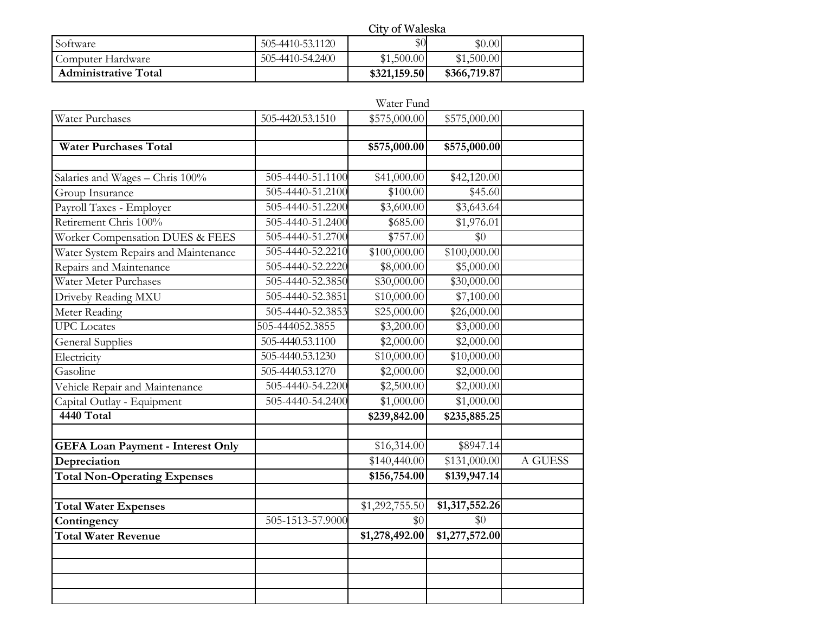|                             |                  | City of Waleska |              |  |  |  |  |
|-----------------------------|------------------|-----------------|--------------|--|--|--|--|
| Software                    | 505-4410-53.1120 | $\$0$           | \$0.00       |  |  |  |  |
| Computer Hardware           | 505-4410-54.2400 | \$1,500.00      | \$1,500.00   |  |  |  |  |
| <b>Administrative Total</b> |                  | \$321,159.50    | \$366,719.87 |  |  |  |  |

|                                          |                  | Water Fund          |                           |         |
|------------------------------------------|------------------|---------------------|---------------------------|---------|
| Water Purchases                          | 505-4420.53.1510 | \$575,000.00        | \$575,000.00              |         |
|                                          |                  |                     |                           |         |
| <b>Water Purchases Total</b>             |                  | \$575,000.00        | \$575,000.00              |         |
|                                          |                  |                     |                           |         |
| Salaries and Wages - Chris 100%          | 505-4440-51.1100 | \$41,000.00         | \$42,120.00               |         |
| Group Insurance                          | 505-4440-51.2100 | \$100.00            | \$45.60                   |         |
| Payroll Taxes - Employer                 | 505-4440-51.2200 | \$3,600.00          | \$3,643.64                |         |
| Retirement Chris 100%                    | 505-4440-51.2400 | \$685.00            | \$1,976.01                |         |
| Worker Compensation DUES & FEES          | 505-4440-51.2700 | \$757.00            | \$0                       |         |
| Water System Repairs and Maintenance     | 505-4440-52.2210 | \$100,000.00        | \$100,000.00              |         |
| Repairs and Maintenance                  | 505-4440-52.2220 | \$8,000.00          | \$5,000.00                |         |
| Water Meter Purchases                    | 505-4440-52.3850 | \$30,000.00         | \$30,000.00               |         |
| Driveby Reading MXU                      | 505-4440-52.3851 | \$10,000.00         | \$7,100.00                |         |
| Meter Reading                            | 505-4440-52.3853 | \$25,000.00         | \$26,000.00               |         |
| <b>UPC</b> Locates                       | 505-444052.3855  | \$3,200.00          | \$3,000.00                |         |
| <b>General Supplies</b>                  | 505-4440.53.1100 | \$2,000.00          | \$2,000.00                |         |
| Electricity                              | 505-4440.53.1230 | \$10,000.00         | \$10,000.00               |         |
| Gasoline                                 | 505-4440.53.1270 | \$2,000.00          | \$2,000.00                |         |
| Vehicle Repair and Maintenance           | 505-4440-54.2200 | \$2,500.00          | \$2,000.00                |         |
| Capital Outlay - Equipment               | 505-4440-54.2400 | \$1,000.00          | \$1,000.00                |         |
| 4440 Total                               |                  | \$239,842.00        | \$235,885.25              |         |
|                                          |                  |                     |                           |         |
| <b>GEFA Loan Payment - Interest Only</b> |                  | $\sqrt{$16,314.00}$ | \$8947.14                 |         |
| Depreciation                             |                  | \$140,440.00        | \$131,000.00              | A GUESS |
| <b>Total Non-Operating Expenses</b>      |                  | \$156,754.00        | \$139,947.14              |         |
|                                          |                  |                     |                           |         |
| <b>Total Water Expenses</b>              |                  | \$1,292,755.50      | $\overline{1,317,552.26}$ |         |
| Contingency                              | 505-1513-57.9000 | \$0                 | \$0                       |         |
| <b>Total Water Revenue</b>               |                  | \$1,278,492.00      | \$1,277,572.00            |         |
|                                          |                  |                     |                           |         |
|                                          |                  |                     |                           |         |
|                                          |                  |                     |                           |         |
|                                          |                  |                     |                           |         |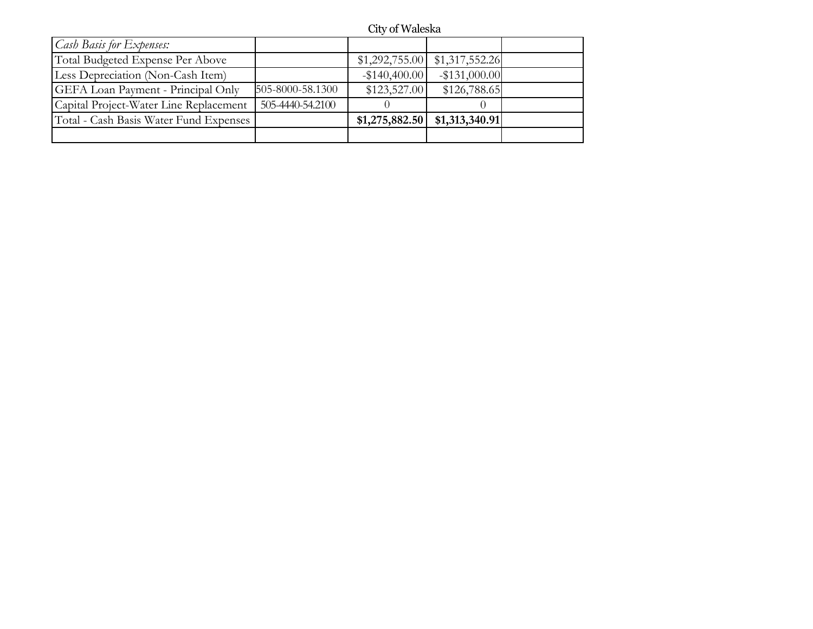# City of Waleska

| <i>Cash Basis for Expenses:</i>                               |                                      |  |
|---------------------------------------------------------------|--------------------------------------|--|
| Total Budgeted Expense Per Above                              | $$1,292,755.00$ $$1,317,552.26$      |  |
| Less Depreciation (Non-Cash Item)                             | $-$ \$131,000.00<br>$-$ \$140,400.00 |  |
| 505-8000-58.1300<br><b>GEFA</b> Loan Payment - Principal Only | \$126,788.65<br>\$123,527.00         |  |
| 505-4440-54.2100<br>Capital Project-Water Line Replacement    |                                      |  |
| Total - Cash Basis Water Fund Expenses                        | $$1,275,882.50$ $$1,313,340.91$      |  |
|                                                               |                                      |  |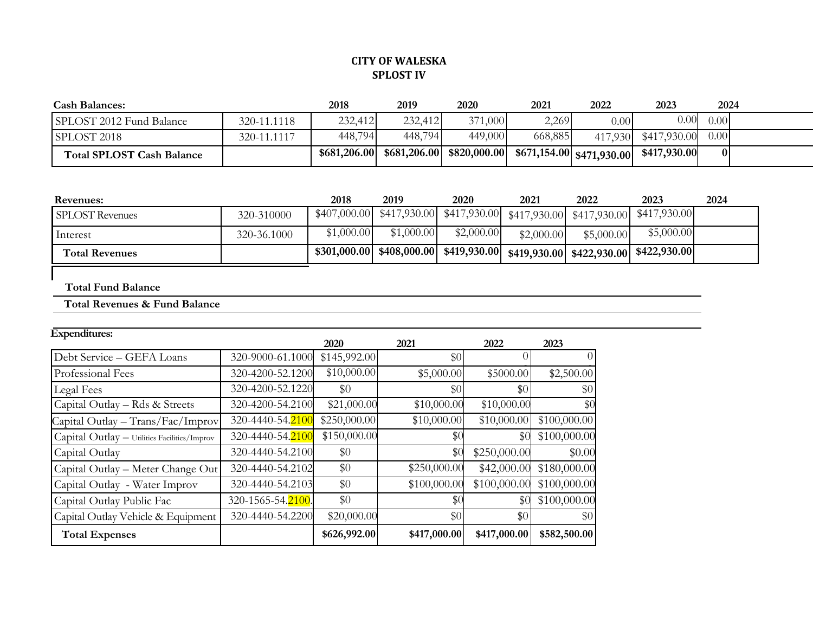## **CITY OF WALESKA SPLOST IV**

| <b>Cash Balances:</b>            |             | 2018         | 2019    | 2020                        | 2021    | 2022                        | 2023                 | 2024 |  |
|----------------------------------|-------------|--------------|---------|-----------------------------|---------|-----------------------------|----------------------|------|--|
| SPLOST 2012 Fund Balance         | 320-11.1118 | 232,412      | 232,412 | 371,000                     | 2,269   | 0.00                        | $0.00\,$             | 0.00 |  |
| SPLOST 2018                      | 320-11.1117 | 448,794      | 448,794 | 449,000                     | 668,885 |                             | 417,930 \$417,930.00 | 0.00 |  |
| <b>Total SPLOST Cash Balance</b> |             | \$681,206.00 |         | $$681,206.00$ $$820,000.00$ |         | $$671,154.00$ $$471,930.00$ | \$417,930.00         | 0 I  |  |

| <b>Revenues:</b>       |             | 2018       | 2019       | 2020       | 2021       | 2022       | 2023                                                                                              | 2024 |
|------------------------|-------------|------------|------------|------------|------------|------------|---------------------------------------------------------------------------------------------------|------|
| <b>SPLOST</b> Revenues | 320-310000  |            |            |            |            |            | $$407,000.00$ $$417,930.00$ $$417,930.00$ $$417,930.00$ $$417,930.00$ $$417,930.00$ $$417,930.00$ |      |
| Interest               | 320-36.1000 | \$1,000.00 | \$1,000.00 | \$2,000.00 | \$2,000.00 | \$5,000.00 | \$5,000.00                                                                                        |      |
| <b>Total Revenues</b>  |             |            |            |            |            |            | $$301,000.00$ $$408,000.00$ $$419,930.00$ $$419,930.00$ $$422,930.00$ $$422,930.00$               |      |

#### **Total Fund Balance**

#### **Total Revenues & Fund Balance**

| <b>Expenditures:</b>                         |                  | 2020         | 2021         | 2022         | 2023         |
|----------------------------------------------|------------------|--------------|--------------|--------------|--------------|
| Debt Service - GEFA Loans                    | 320-9000-61.1000 | \$145,992.00 | \$0          |              | $\theta$     |
| Professional Fees                            | 320-4200-52.1200 | \$10,000.00  | \$5,000.00   | \$5000.00    | \$2,500.00   |
| Legal Fees                                   | 320-4200-52.1220 | $\$0$        | \$0          | \$0 I        | \$0          |
| Capital Outlay - Rds & Streets               | 320-4200-54.2100 | \$21,000.00  | \$10,000.00  | \$10,000.00  | \$0          |
| Capital Outlay - Trans/Fac/Improv            | 320-4440-54.2100 | \$250,000.00 | \$10,000.00  | \$10,000.00  | \$100,000.00 |
| Capital Outlay - Utilities Facilities/Improv | 320-4440-54.2100 | \$150,000.00 | \$0          | \$0          | \$100,000.00 |
| Capital Outlay                               | 320-4440-54.2100 | \$0          | \$0          | \$250,000.00 | \$0.00       |
| Capital Outlay - Meter Change Out            | 320-4440-54.2102 | \$0          | \$250,000.00 | \$42,000.00  | \$180,000.00 |
| Capital Outlay - Water Improv                | 320-4440-54.2103 | \$0          | \$100,000.00 | \$100,000.00 | \$100,000.00 |

Capital Outlay Public Fac 320-1565-54.2100. \$0 \$0 \$0 \$100,000.00 Capital Outlay Vehicle & Equipment 320-4440-54.2200 \$20,000.00 \$0 \$0 \$0 \$0 Total Expenses **8117,000.00 \$417,000.00 \$417,000.00 \$582,500.00 \$582,500.00**